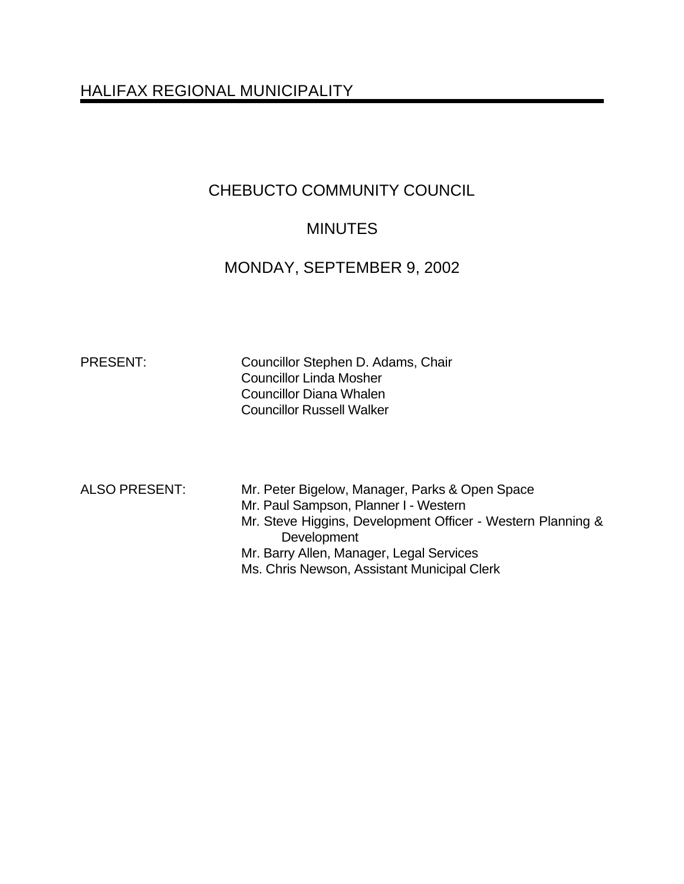# HALIFAX REGIONAL MUNICIPALITY

# CHEBUCTO COMMUNITY COUNCIL

# **MINUTES**

# MONDAY, SEPTEMBER 9, 2002

PRESENT: Councillor Stephen D. Adams, Chair Councillor Linda Mosher Councillor Diana Whalen Councillor Russell Walker

- ALSO PRESENT: Mr. Peter Bigelow, Manager, Parks & Open Space
	- Mr. Paul Sampson, Planner I Western
	- Mr. Steve Higgins, Development Officer Western Planning & **Development**
	- Mr. Barry Allen, Manager, Legal Services
	- Ms. Chris Newson, Assistant Municipal Clerk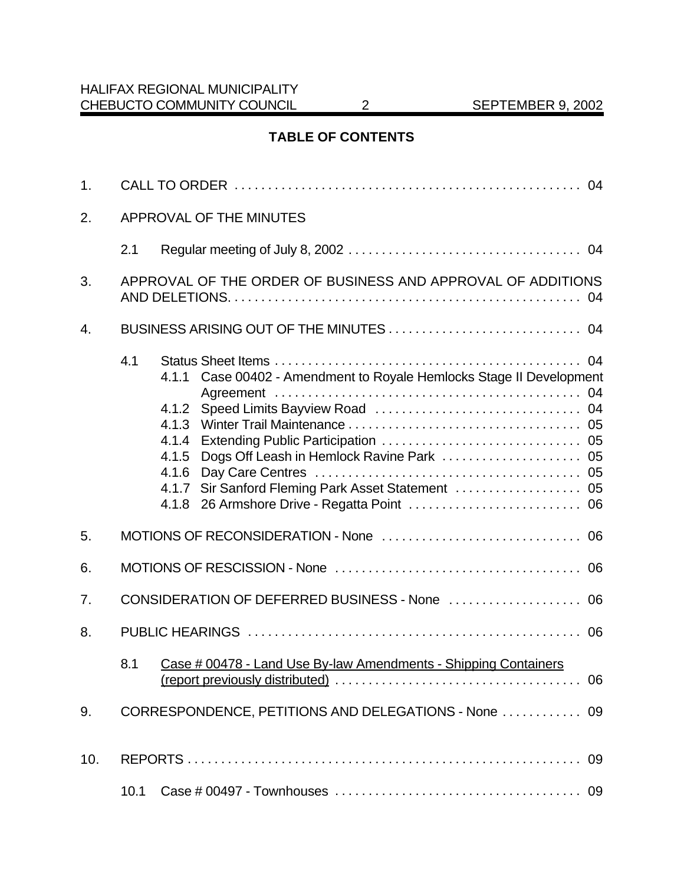# **TABLE OF CONTENTS**

| 1.  |                                                             |                                                                                                                                        |  |  |
|-----|-------------------------------------------------------------|----------------------------------------------------------------------------------------------------------------------------------------|--|--|
| 2.  |                                                             | APPROVAL OF THE MINUTES                                                                                                                |  |  |
|     | 2.1                                                         |                                                                                                                                        |  |  |
| 3.  | APPROVAL OF THE ORDER OF BUSINESS AND APPROVAL OF ADDITIONS |                                                                                                                                        |  |  |
| 4.  |                                                             |                                                                                                                                        |  |  |
|     | 4.1                                                         | Case 00402 - Amendment to Royale Hemlocks Stage II Development<br>4.1.1<br>4.1.2<br>4.1.3<br>4.1.4<br>4.1.5<br>4.1.6<br>4.1.7<br>4.1.8 |  |  |
| 5.  |                                                             |                                                                                                                                        |  |  |
| 6.  |                                                             |                                                                                                                                        |  |  |
| 7.  |                                                             |                                                                                                                                        |  |  |
| 8.  |                                                             |                                                                                                                                        |  |  |
|     | 8.1                                                         | Case # 00478 - Land Use By-law Amendments - Shipping Containers                                                                        |  |  |
| 9.  |                                                             | CORRESPONDENCE, PETITIONS AND DELEGATIONS - None  09                                                                                   |  |  |
| 10. |                                                             |                                                                                                                                        |  |  |
|     | 10.1                                                        |                                                                                                                                        |  |  |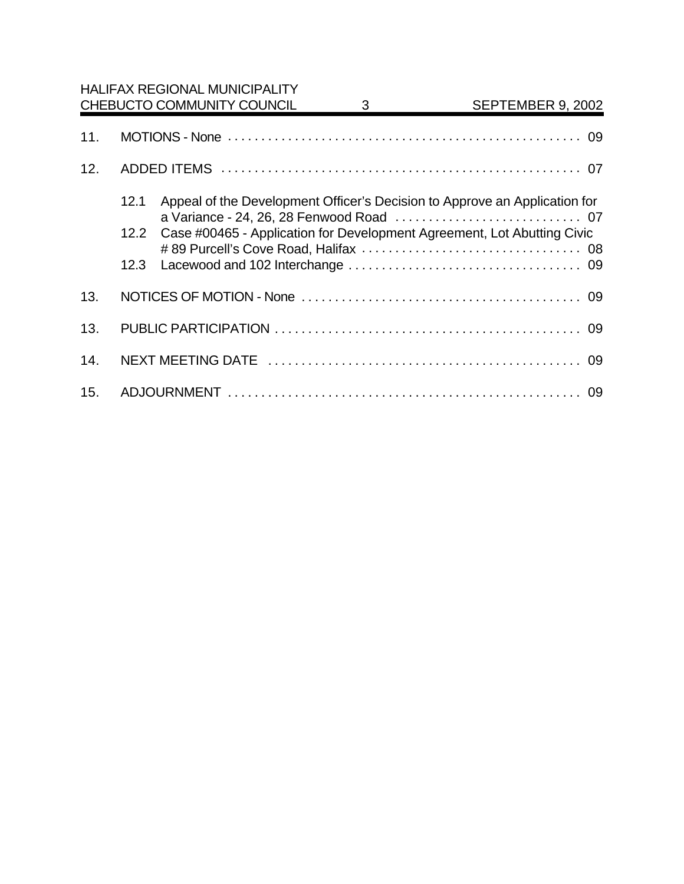|     |      | <b>HALIFAX REGIONAL MUNICIPALITY</b><br>CHEBUCTO COMMUNITY COUNCIL | 3 | SEPTEMBER 9, 2002                                                          |
|-----|------|--------------------------------------------------------------------|---|----------------------------------------------------------------------------|
| 11. |      |                                                                    |   |                                                                            |
| 12. |      |                                                                    |   |                                                                            |
|     | 12.1 |                                                                    |   | Appeal of the Development Officer's Decision to Approve an Application for |
|     | 12.2 |                                                                    |   | Case #00465 - Application for Development Agreement, Lot Abutting Civic    |
|     | 12.3 |                                                                    |   |                                                                            |
| 13. |      |                                                                    |   |                                                                            |
| 13. |      |                                                                    |   |                                                                            |
| 14. |      |                                                                    |   |                                                                            |
| 15. |      |                                                                    |   |                                                                            |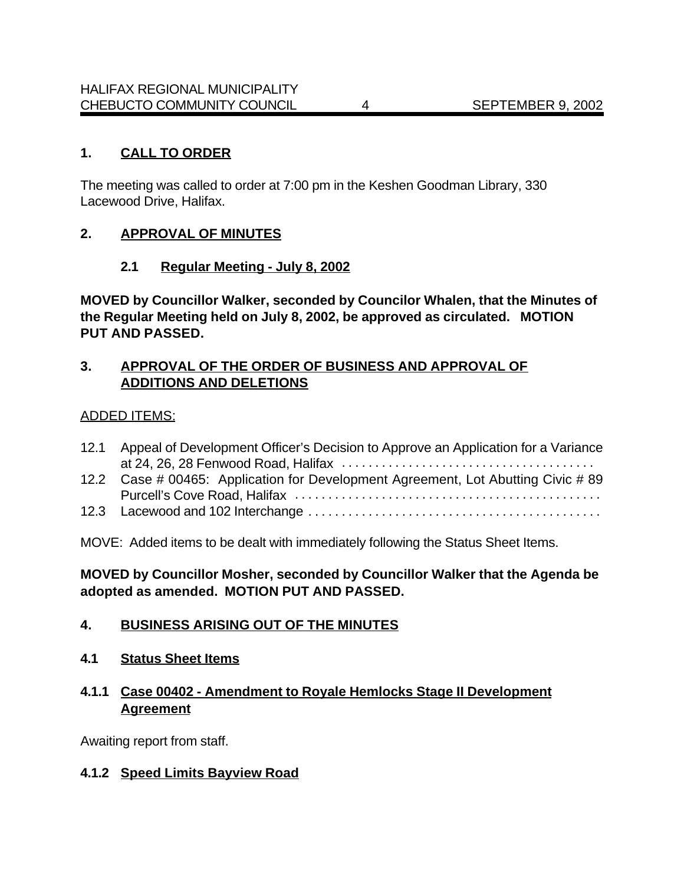# **1. CALL TO ORDER**

The meeting was called to order at 7:00 pm in the Keshen Goodman Library, 330 Lacewood Drive, Halifax.

# **2. APPROVAL OF MINUTES**

# **2.1 Regular Meeting - July 8, 2002**

**MOVED by Councillor Walker, seconded by Councilor Whalen, that the Minutes of the Regular Meeting held on July 8, 2002, be approved as circulated. MOTION PUT AND PASSED.**

# **3. APPROVAL OF THE ORDER OF BUSINESS AND APPROVAL OF ADDITIONS AND DELETIONS**

#### ADDED ITEMS:

| 12.1 | Appeal of Development Officer's Decision to Approve an Application for a Variance |
|------|-----------------------------------------------------------------------------------|
|      |                                                                                   |
|      | 12.2 Case # 00465: Application for Development Agreement, Lot Abutting Civic # 89 |
|      |                                                                                   |
|      |                                                                                   |

MOVE: Added items to be dealt with immediately following the Status Sheet Items.

**MOVED by Councillor Mosher, seconded by Councillor Walker that the Agenda be adopted as amended. MOTION PUT AND PASSED.**

#### **4. BUSINESS ARISING OUT OF THE MINUTES**

**4.1 Status Sheet Items**

# **4.1.1 Case 00402 - Amendment to Royale Hemlocks Stage II Development Agreement**

Awaiting report from staff.

#### **4.1.2 Speed Limits Bayview Road**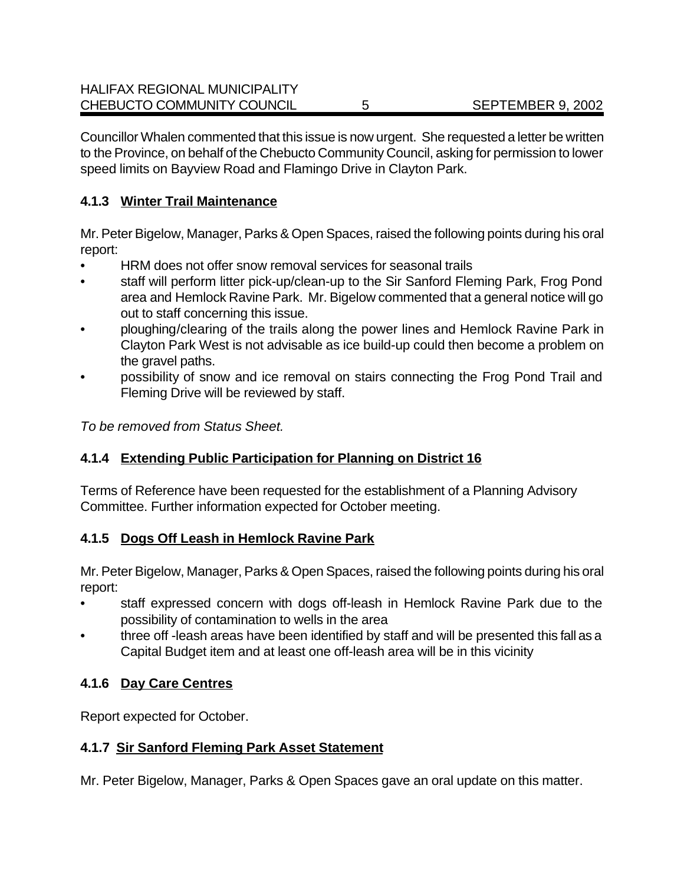Councillor Whalen commented that this issue is now urgent. She requested a letter be written to the Province, on behalf of the Chebucto Community Council, asking for permission to lower speed limits on Bayview Road and Flamingo Drive in Clayton Park.

# **4.1.3 Winter Trail Maintenance**

Mr. Peter Bigelow, Manager, Parks & Open Spaces, raised the following points during his oral report:

- HRM does not offer snow removal services for seasonal trails
- staff will perform litter pick-up/clean-up to the Sir Sanford Fleming Park, Frog Pond area and Hemlock Ravine Park. Mr. Bigelow commented that a general notice will go out to staff concerning this issue.
- ploughing/clearing of the trails along the power lines and Hemlock Ravine Park in Clayton Park West is not advisable as ice build-up could then become a problem on the gravel paths.
- possibility of snow and ice removal on stairs connecting the Frog Pond Trail and Fleming Drive will be reviewed by staff.

*To be removed from Status Sheet.*

# **4.1.4 Extending Public Participation for Planning on District 16**

Terms of Reference have been requested for the establishment of a Planning Advisory Committee. Further information expected for October meeting.

# **4.1.5 Dogs Off Leash in Hemlock Ravine Park**

Mr. Peter Bigelow, Manager, Parks & Open Spaces, raised the following points during his oral report:

- staff expressed concern with dogs off-leash in Hemlock Ravine Park due to the possibility of contamination to wells in the area
- three off -leash areas have been identified by staff and will be presented this fall as a Capital Budget item and at least one off-leash area will be in this vicinity

# **4.1.6 Day Care Centres**

Report expected for October.

# **4.1.7 Sir Sanford Fleming Park Asset Statement**

Mr. Peter Bigelow, Manager, Parks & Open Spaces gave an oral update on this matter.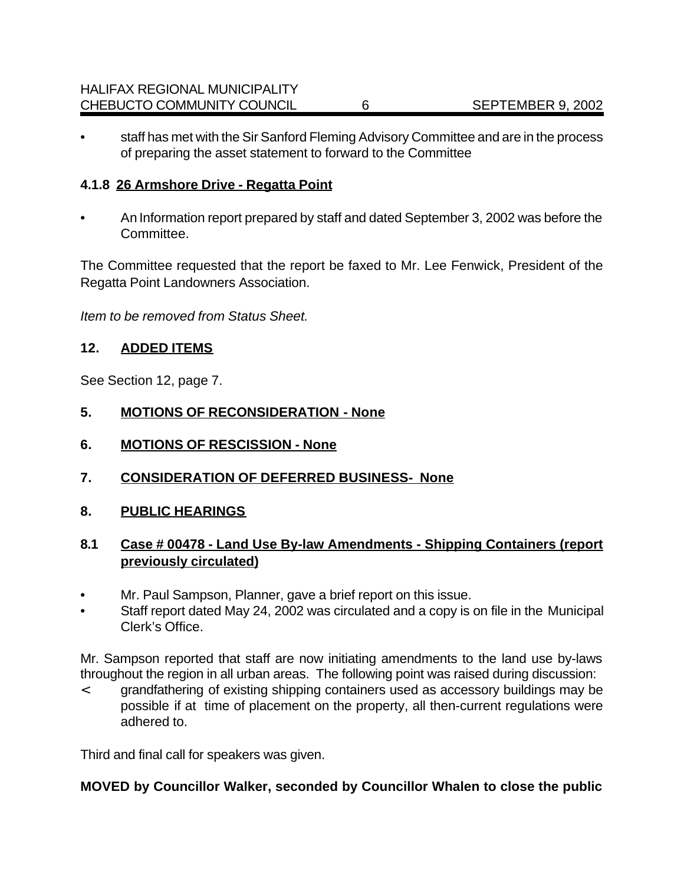• staff has met with the Sir Sanford Fleming Advisory Committee and are in the process of preparing the asset statement to forward to the Committee

# **4.1.8 26 Armshore Drive - Regatta Point**

• An Information report prepared by staff and dated September 3, 2002 was before the Committee.

The Committee requested that the report be faxed to Mr. Lee Fenwick, President of the Regatta Point Landowners Association.

*Item to be removed from Status Sheet.*

# **12. ADDED ITEMS**

See Section 12, page 7.

- **5. MOTIONS OF RECONSIDERATION None**
- **6. MOTIONS OF RESCISSION None**
- **7. CONSIDERATION OF DEFERRED BUSINESS- None**
- **8. PUBLIC HEARINGS**

# **8.1 Case # 00478 - Land Use By-law Amendments - Shipping Containers (report previously circulated)**

- Mr. Paul Sampson, Planner, gave a brief report on this issue.
- Staff report dated May 24, 2002 was circulated and a copy is on file in the Municipal Clerk's Office.

Mr. Sampson reported that staff are now initiating amendments to the land use by-laws throughout the region in all urban areas. The following point was raised during discussion:

< grandfathering of existing shipping containers used as accessory buildings may be possible if at time of placement on the property, all then-current regulations were adhered to.

Third and final call for speakers was given.

# **MOVED by Councillor Walker, seconded by Councillor Whalen to close the public**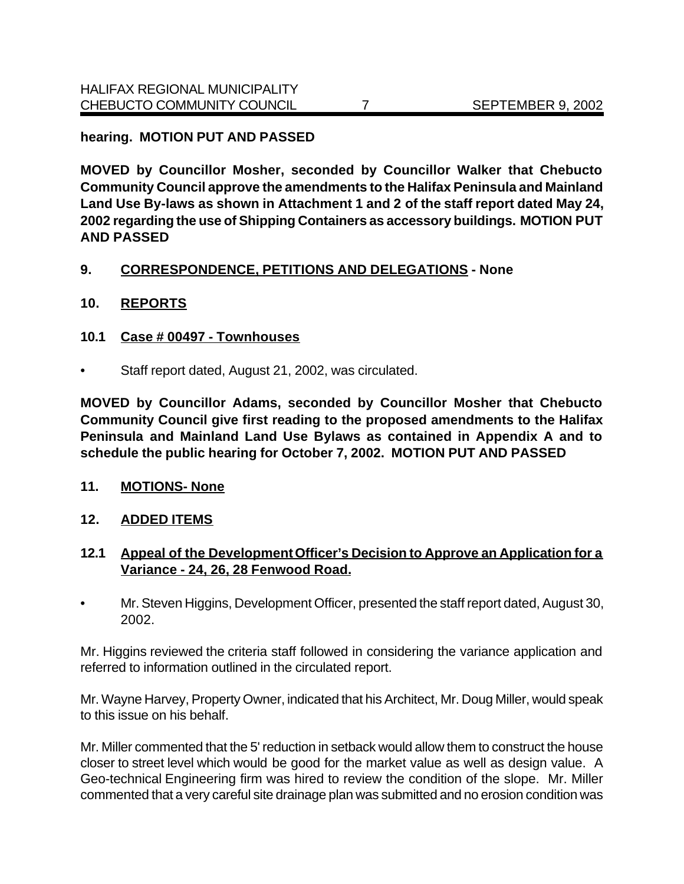#### **hearing. MOTION PUT AND PASSED**

**MOVED by Councillor Mosher, seconded by Councillor Walker that Chebucto Community Council approve the amendments to the Halifax Peninsula and Mainland Land Use By-laws as shown in Attachment 1 and 2 of the staff report dated May 24, 2002 regarding the use of Shipping Containers as accessory buildings. MOTION PUT AND PASSED**

#### **9. CORRESPONDENCE, PETITIONS AND DELEGATIONS - None**

# **10. REPORTS**

#### **10.1 Case # 00497 - Townhouses**

• Staff report dated, August 21, 2002, was circulated.

**MOVED by Councillor Adams, seconded by Councillor Mosher that Chebucto Community Council give first reading to the proposed amendments to the Halifax Peninsula and Mainland Land Use Bylaws as contained in Appendix A and to schedule the public hearing for October 7, 2002. MOTION PUT AND PASSED**

#### **11. MOTIONS- None**

#### **12. ADDED ITEMS**

# **12.1 Appeal of the Development Officer's Decision to Approve an Application for a Variance - 24, 26, 28 Fenwood Road.**

• Mr. Steven Higgins, Development Officer, presented the staff report dated, August 30, 2002.

Mr. Higgins reviewed the criteria staff followed in considering the variance application and referred to information outlined in the circulated report.

Mr. Wayne Harvey, Property Owner, indicated that his Architect, Mr. Doug Miller, would speak to this issue on his behalf.

Mr. Miller commented that the 5' reduction in setback would allow them to construct the house closer to street level which would be good for the market value as well as design value. A Geo-technical Engineering firm was hired to review the condition of the slope. Mr. Miller commented that a very careful site drainage plan was submitted and no erosion condition was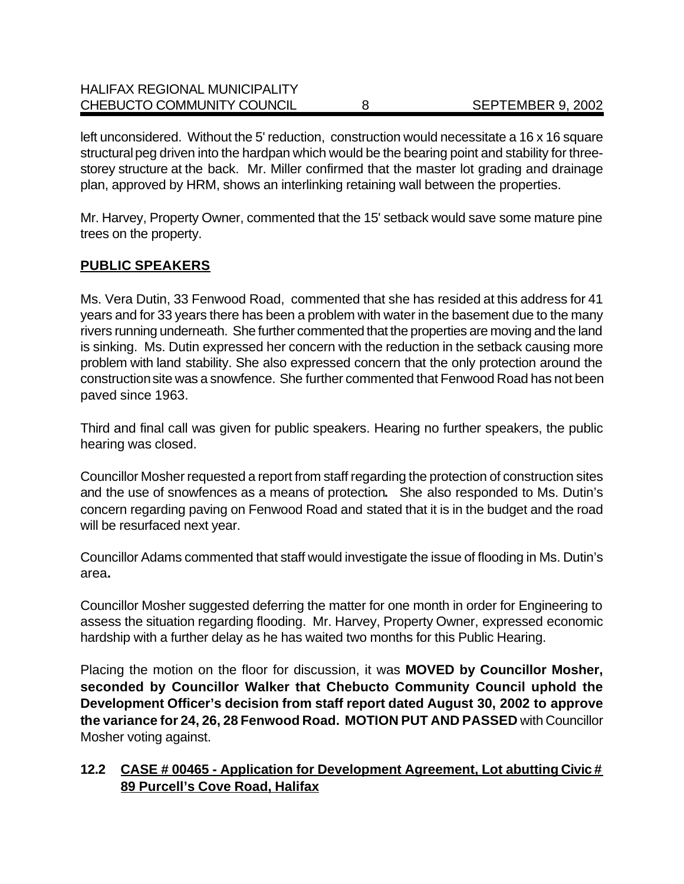| <b>HALIFAX REGIONAL MUNICIPALITY</b> |                   |
|--------------------------------------|-------------------|
| CHEBUCTO COMMUNITY COUNCIL           | SEPTEMBER 9, 2002 |

left unconsidered. Without the 5' reduction, construction would necessitate a 16 x 16 square structural peg driven into the hardpan which would be the bearing point and stability for threestorey structure at the back. Mr. Miller confirmed that the master lot grading and drainage plan, approved by HRM, shows an interlinking retaining wall between the properties.

Mr. Harvey, Property Owner, commented that the 15' setback would save some mature pine trees on the property.

# **PUBLIC SPEAKERS**

Ms. Vera Dutin, 33 Fenwood Road, commented that she has resided at this address for 41 years and for 33 years there has been a problem with water in the basement due to the many rivers running underneath. She further commented that the properties are moving and the land is sinking. Ms. Dutin expressed her concern with the reduction in the setback causing more problem with land stability. She also expressed concern that the only protection around the construction site was a snowfence.She further commented that Fenwood Road has not been paved since 1963.

Third and final call was given for public speakers. Hearing no further speakers, the public hearing was closed.

Councillor Mosher requested a report from staff regarding the protection of construction sites and the use of snowfences as a means of protection**.** She also responded to Ms. Dutin's concern regarding paving on Fenwood Road and stated that it is in the budget and the road will be resurfaced next year.

Councillor Adams commented that staff would investigate the issue of flooding in Ms. Dutin's area**.**

Councillor Mosher suggested deferring the matter for one month in order for Engineering to assess the situation regarding flooding. Mr. Harvey, Property Owner, expressed economic hardship with a further delay as he has waited two months for this Public Hearing.

Placing the motion on the floor for discussion, it was **MOVED by Councillor Mosher, seconded by Councillor Walker that Chebucto Community Council uphold the Development Officer's decision from staff report dated August 30, 2002 to approve the variance for 24, 26, 28 Fenwood Road. MOTION PUT AND PASSED** with Councillor Mosher voting against.

# **12.2 CASE # 00465 - Application for Development Agreement, Lot abutting Civic # 89 Purcell's Cove Road, Halifax**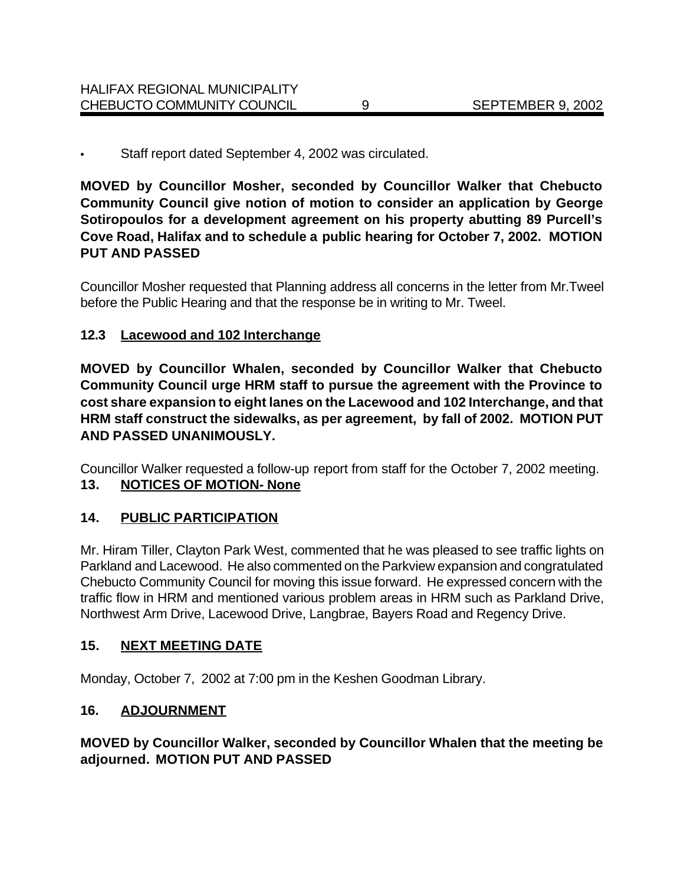Staff report dated September 4, 2002 was circulated.

**MOVED by Councillor Mosher, seconded by Councillor Walker that Chebucto Community Council give notion of motion to consider an application by George Sotiropoulos for a development agreement on his property abutting 89 Purcell's Cove Road, Halifax and to schedule a public hearing for October 7, 2002. MOTION PUT AND PASSED**

Councillor Mosher requested that Planning address all concerns in the letter from Mr.Tweel before the Public Hearing and that the response be in writing to Mr. Tweel.

#### **12.3 Lacewood and 102 Interchange**

**MOVED by Councillor Whalen, seconded by Councillor Walker that Chebucto Community Council urge HRM staff to pursue the agreement with the Province to cost share expansion to eight lanes on the Lacewood and 102 Interchange, and that HRM staff construct the sidewalks, as per agreement, by fall of 2002. MOTION PUT AND PASSED UNANIMOUSLY.**

Councillor Walker requested a follow-up report from staff for the October 7, 2002 meeting. **13. NOTICES OF MOTION- None**

# **14. PUBLIC PARTICIPATION**

Mr. Hiram Tiller, Clayton Park West, commented that he was pleased to see traffic lights on Parkland and Lacewood. He also commented on the Parkview expansion and congratulated Chebucto Community Council for moving this issue forward. He expressed concern with the traffic flow in HRM and mentioned various problem areas in HRM such as Parkland Drive, Northwest Arm Drive, Lacewood Drive, Langbrae, Bayers Road and Regency Drive.

#### **15. NEXT MEETING DATE**

Monday, October 7, 2002 at 7:00 pm in the Keshen Goodman Library.

#### **16. ADJOURNMENT**

# **MOVED by Councillor Walker, seconded by Councillor Whalen that the meeting be adjourned. MOTION PUT AND PASSED**